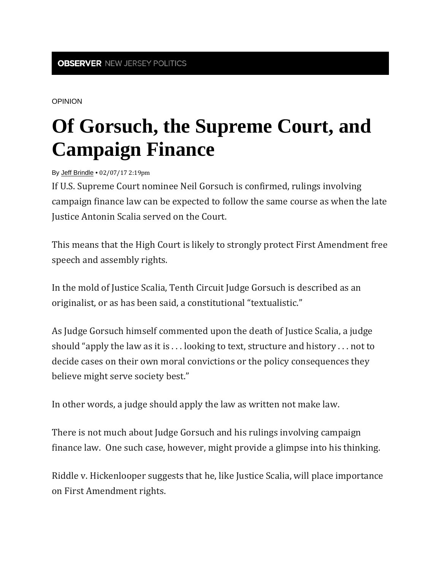OPINION

## **Of Gorsuch, the Supreme Court, and Campaign Finance**

By Jeff Brindle • 02/07/17 2:19pm

If U.S. Supreme Court nominee Neil Gorsuch is confirmed, rulings involving campaign finance law can be expected to follow the same course as when the late Iustice Antonin Scalia served on the Court.

This means that the High Court is likely to strongly protect First Amendment free speech and assembly rights.

In the mold of Justice Scalia, Tenth Circuit Judge Gorsuch is described as an originalist, or as has been said, a constitutional "textualistic."

As Judge Gorsuch himself commented upon the death of Justice Scalia, a judge should "apply the law as it is ... looking to text, structure and history ... not to decide cases on their own moral convictions or the policy consequences they believe might serve society best."

In other words, a judge should apply the law as written not make law.

There is not much about Judge Gorsuch and his rulings involving campaign finance law. One such case, however, might provide a glimpse into his thinking.

Riddle v. Hickenlooper suggests that he, like Justice Scalia, will place importance on First Amendment rights.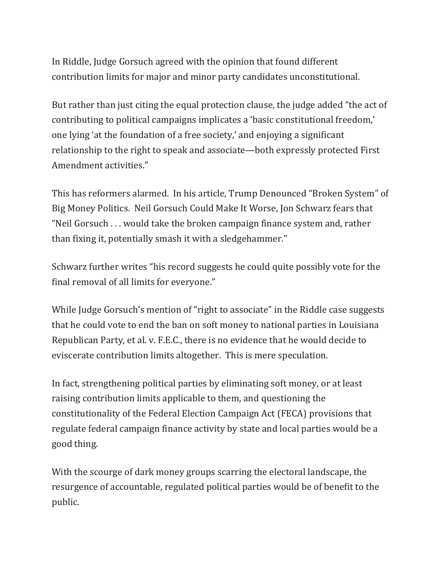In Riddle, Judge Gorsuch agreed with the opinion that found different contribution limits for major and minor party candidates unconstitutional.

But rather than just citing the equal protection clause, the judge added "the act of contributing to political campaigns implicates a 'basic constitutional freedom,' one lying 'at the foundation of a free society,' and enjoying a significant relationship to the right to speak and associate—both expressly protected First Amendment activities."

This has reformers alarmed. In his article, Trump Denounced "Broken System" of Big Money Politics. Neil Gorsuch Could Make It Worse, Jon Schwarz fears that "Neil Gorsuch  $\ldots$  would take the broken campaign finance system and, rather than fixing it, potentially smash it with a sledgehammer."

Schwarz further writes "his record suggests he could quite possibly vote for the final removal of all limits for everyone."

While Judge Gorsuch's mention of "right to associate" in the Riddle case suggests that he could vote to end the ban on soft money to national parties in Louisiana Republican Party, et al. v. F.E.C., there is no evidence that he would decide to eviscerate contribution limits altogether. This is mere speculation.

In fact, strengthening political parties by eliminating soft money, or at least raising contribution limits applicable to them, and questioning the constitutionality of the Federal Election Campaign Act (FECA) provisions that regulate federal campaign finance activity by state and local parties would be a good thing.

With the scourge of dark money groups scarring the electoral landscape, the resurgence of accountable, regulated political parties would be of benefit to the public.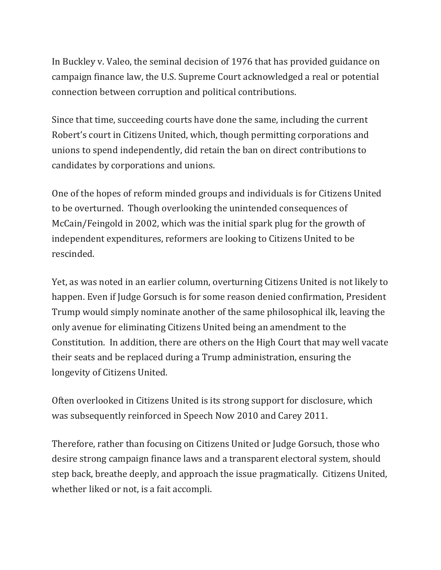In Buckley v. Valeo, the seminal decision of 1976 that has provided guidance on campaign finance law, the U.S. Supreme Court acknowledged a real or potential connection between corruption and political contributions.

Since that time, succeeding courts have done the same, including the current Robert's court in Citizens United, which, though permitting corporations and unions to spend independently, did retain the ban on direct contributions to candidates by corporations and unions.

One of the hopes of reform minded groups and individuals is for Citizens United to be overturned. Though overlooking the unintended consequences of McCain/Feingold in 2002, which was the initial spark plug for the growth of independent expenditures, reformers are looking to Citizens United to be rescinded. 

Yet, as was noted in an earlier column, overturning Citizens United is not likely to happen. Even if Judge Gorsuch is for some reason denied confirmation, President Trump would simply nominate another of the same philosophical ilk, leaving the only avenue for eliminating Citizens United being an amendment to the Constitution. In addition, there are others on the High Court that may well vacate their seats and be replaced during a Trump administration, ensuring the longevity of Citizens United.

Often overlooked in Citizens United is its strong support for disclosure, which was subsequently reinforced in Speech Now 2010 and Carey 2011.

Therefore, rather than focusing on Citizens United or Judge Gorsuch, those who desire strong campaign finance laws and a transparent electoral system, should step back, breathe deeply, and approach the issue pragmatically. Citizens United, whether liked or not, is a fait accompli.